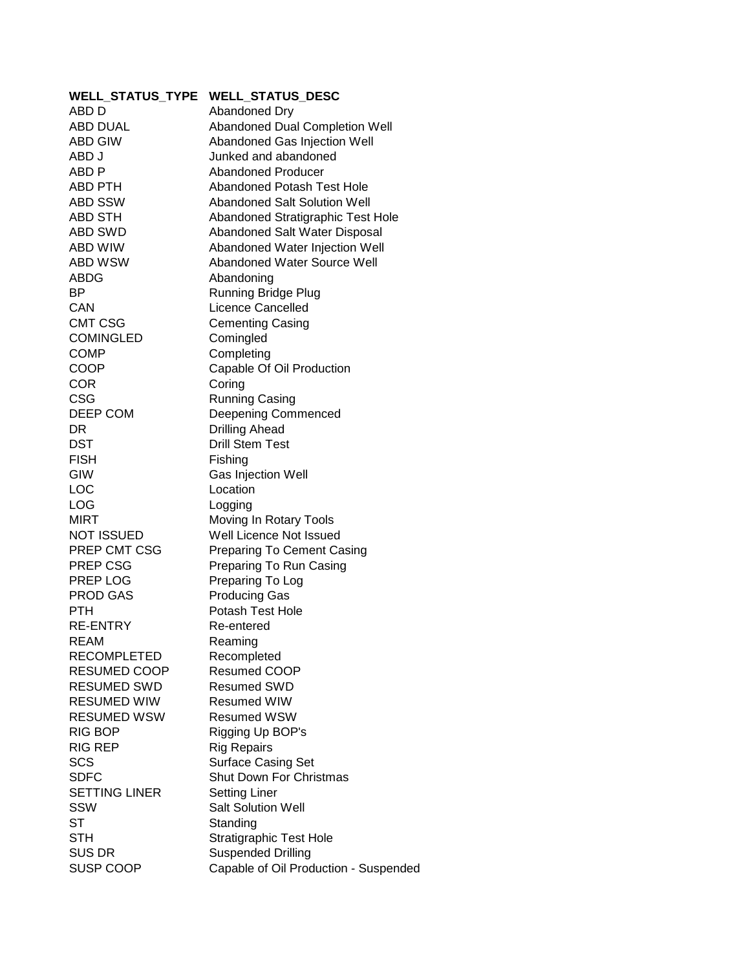| <b>WELL STATUS TYPE</b> | <b>WELL_STATUS_DESC</b>               |
|-------------------------|---------------------------------------|
| ABD D                   | Abandoned Dry                         |
| <b>ABD DUAL</b>         | Abandoned Dual Completion Well        |
| <b>ABD GIW</b>          | Abandoned Gas Injection Well          |
| ABD J                   | Junked and abandoned                  |
| ABD P                   | Abandoned Producer                    |
| ABD PTH                 | Abandoned Potash Test Hole            |
| <b>ABD SSW</b>          | Abandoned Salt Solution Well          |
| <b>ABD STH</b>          | Abandoned Stratigraphic Test Hole     |
| <b>ABD SWD</b>          | Abandoned Salt Water Disposal         |
| ABD WIW                 | Abandoned Water Injection Well        |
| ABD WSW                 | Abandoned Water Source Well           |
| ABDG                    | Abandoning                            |
| <b>BP</b>               | <b>Running Bridge Plug</b>            |
| CAN                     | Licence Cancelled                     |
| <b>CMT CSG</b>          | <b>Cementing Casing</b>               |
| <b>COMINGLED</b>        | Comingled                             |
| <b>COMP</b>             | Completing                            |
| COOP                    | Capable Of Oil Production             |
| <b>COR</b>              | Coring                                |
| <b>CSG</b>              | <b>Running Casing</b>                 |
| DEEP COM                | <b>Deepening Commenced</b>            |
| DR                      | <b>Drilling Ahead</b>                 |
| <b>DST</b>              | <b>Drill Stem Test</b>                |
| <b>FISH</b>             | Fishing                               |
| GIW                     | Gas Injection Well                    |
| LOC                     | Location                              |
| LOG                     | Logging                               |
| <b>MIRT</b>             | Moving In Rotary Tools                |
| <b>NOT ISSUED</b>       | Well Licence Not Issued               |
| PREP CMT CSG            | <b>Preparing To Cement Casing</b>     |
| <b>PREP CSG</b>         | Preparing To Run Casing               |
| PREP LOG                | Preparing To Log                      |
| <b>PROD GAS</b>         | <b>Producing Gas</b>                  |
| <b>PTH</b>              | Potash Test Hole                      |
| <b>RE-ENTRY</b>         | Re-entered                            |
| REAM                    | Reaming                               |
| <b>RECOMPLETED</b>      | Recompleted                           |
| <b>RESUMED COOP</b>     | Resumed COOP                          |
| <b>RESUMED SWD</b>      | <b>Resumed SWD</b>                    |
| <b>RESUMED WIW</b>      | <b>Resumed WIW</b>                    |
| <b>RESUMED WSW</b>      | <b>Resumed WSW</b>                    |
| <b>RIG BOP</b>          | Rigging Up BOP's                      |
| <b>RIG REP</b>          | <b>Rig Repairs</b>                    |
| SCS                     | <b>Surface Casing Set</b>             |
| <b>SDFC</b>             | <b>Shut Down For Christmas</b>        |
| <b>SETTING LINER</b>    | <b>Setting Liner</b>                  |
| SSW                     | <b>Salt Solution Well</b>             |
| <b>ST</b>               | Standing                              |
| <b>STH</b>              | <b>Stratigraphic Test Hole</b>        |
| <b>SUS DR</b>           | <b>Suspended Drilling</b>             |
| SUSP COOP               | Capable of Oil Production - Suspended |
|                         |                                       |